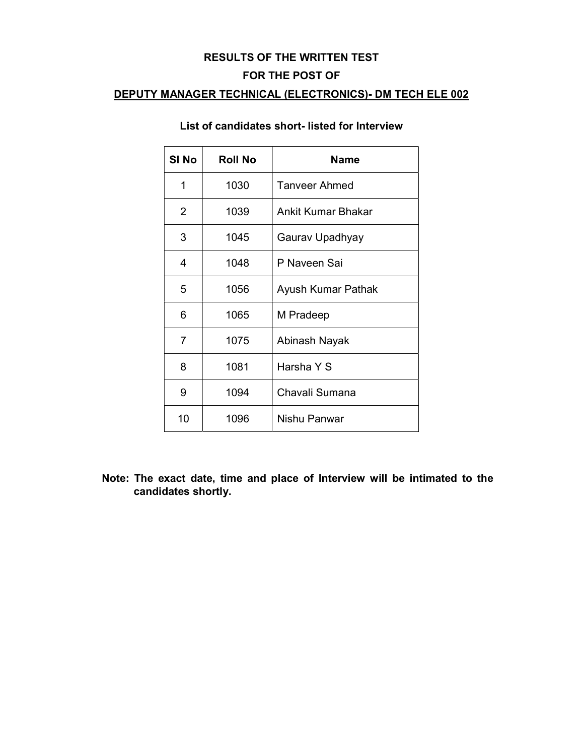#### RESULTS OF THE WRITTEN TEST

#### FOR THE POST OF

## DEPUTY MANAGER TECHNICAL (ELECTRONICS)- DM TECH ELE 002

| SI <sub>No</sub> | <b>Roll No</b> | <b>Name</b>               |
|------------------|----------------|---------------------------|
| 1                | 1030           | <b>Tanveer Ahmed</b>      |
| 2                | 1039           | <b>Ankit Kumar Bhakar</b> |
| 3                | 1045           | Gaurav Upadhyay           |
| 4                | 1048           | P Naveen Sai              |
| 5                | 1056           | Ayush Kumar Pathak        |
| 6                | 1065           | M Pradeep                 |
| 7                | 1075           | Abinash Nayak             |
| 8                | 1081           | Harsha Y S                |
| 9                | 1094           | Chavali Sumana            |
| 10               | 1096           | Nishu Panwar              |

# List of candidates short- listed for Interview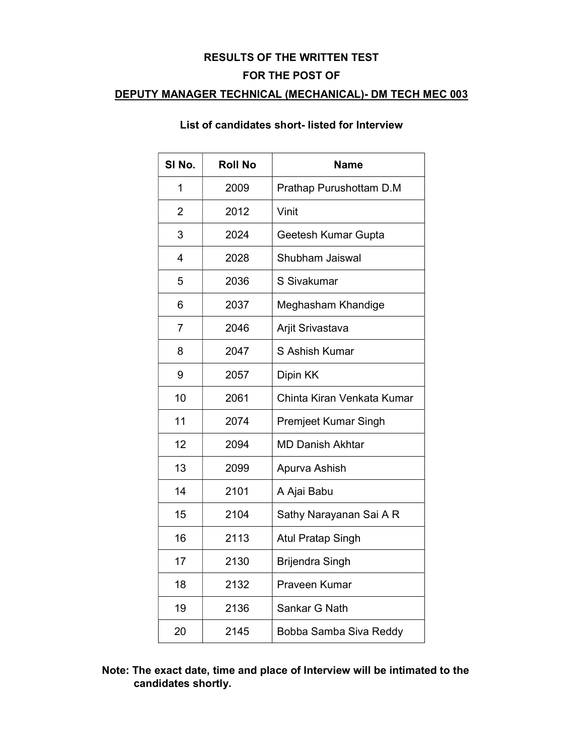#### RESULTS OF THE WRITTEN TEST

#### FOR THE POST OF

## DEPUTY MANAGER TECHNICAL (MECHANICAL)- DM TECH MEC 003

# List of candidates short- listed for Interview

| SI No.         | <b>Roll No</b> | <b>Name</b>                |
|----------------|----------------|----------------------------|
| 1              | 2009           | Prathap Purushottam D.M    |
| $\overline{2}$ | 2012           | Vinit                      |
| 3              | 2024           | Geetesh Kumar Gupta        |
| 4              | 2028           | Shubham Jaiswal            |
| 5              | 2036           | S Sivakumar                |
| 6              | 2037           | Meghasham Khandige         |
| $\overline{7}$ | 2046           | Arjit Srivastava           |
| 8              | 2047           | S Ashish Kumar             |
| 9              | 2057           | Dipin KK                   |
| 10             | 2061           | Chinta Kiran Venkata Kumar |
| 11             | 2074           | Premjeet Kumar Singh       |
| 12             | 2094           | <b>MD Danish Akhtar</b>    |
| 13             | 2099           | Apurva Ashish              |
| 14             | 2101           | A Ajai Babu                |
| 15             | 2104           | Sathy Narayanan Sai A R    |
| 16             | 2113           | <b>Atul Pratap Singh</b>   |
| 17             | 2130           | <b>Brijendra Singh</b>     |
| 18             | 2132           | Praveen Kumar              |
| 19             | 2136           | Sankar G Nath              |
| 20             | 2145           | Bobba Samba Siva Reddy     |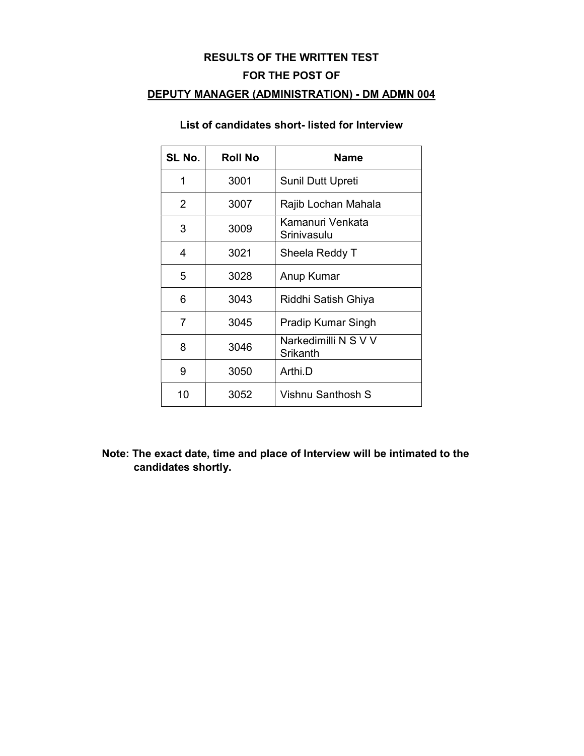# RESULTS OF THE WRITTEN TEST

## FOR THE POST OF

## DEPUTY MANAGER (ADMINISTRATION) - DM ADMN 004

## List of candidates short- listed for Interview

| SL No. | <b>Roll No</b> | <b>Name</b>                      |
|--------|----------------|----------------------------------|
| 1      | 3001           | <b>Sunil Dutt Upreti</b>         |
| 2      | 3007           | Rajib Lochan Mahala              |
| 3      | 3009           | Kamanuri Venkata<br>Srinivasulu  |
| 4      | 3021           | Sheela Reddy T                   |
| 5      | 3028           | Anup Kumar                       |
| 6      | 3043           | Riddhi Satish Ghiya              |
| 7      | 3045           | Pradip Kumar Singh               |
| 8      | 3046           | Narkedimilli N S V V<br>Srikanth |
| 9      | 3050           | Arthi.D                          |
| 10     | 3052           | Vishnu Santhosh S                |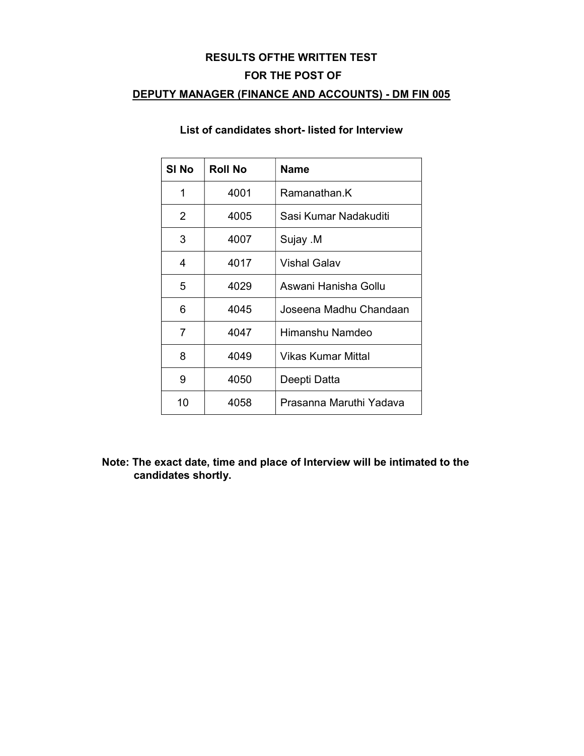#### RESULTS OFTHE WRITTEN TEST

#### FOR THE POST OF

## DEPUTY MANAGER (FINANCE AND ACCOUNTS) - DM FIN 005

| SI No          | <b>Roll No</b> | Name                    |
|----------------|----------------|-------------------------|
| 1              | 4001           | Ramanathan K            |
| $\overline{2}$ | 4005           | Sasi Kumar Nadakuditi   |
| 3              | 4007           | Sujay .M                |
| 4              | 4017           | <b>Vishal Galav</b>     |
| 5              | 4029           | Aswani Hanisha Gollu    |
| 6              | 4045           | Joseena Madhu Chandaan  |
| 7              | 4047           | Himanshu Namdeo         |
| 8              | 4049           | Vikas Kumar Mittal      |
| 9              | 4050           | Deepti Datta            |
| 10             | 4058           | Prasanna Maruthi Yadava |

### List of candidates short- listed for Interview